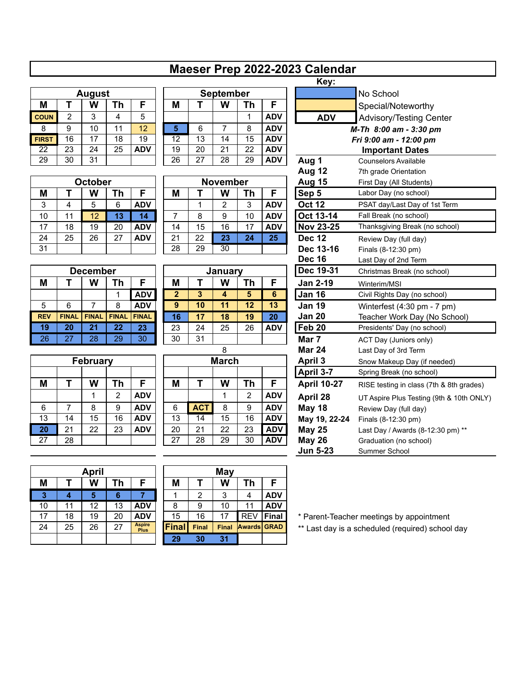## **Maeser Prep 2022-2023 Calendar**

| <b>August</b> |    |    |    |            |  |  |  |  |  |
|---------------|----|----|----|------------|--|--|--|--|--|
| М             |    | W  | Th | F          |  |  |  |  |  |
| <b>COUN</b>   | 2  | 3  | 4  | 5          |  |  |  |  |  |
| 8             | 9  | 10 | 11 | 12         |  |  |  |  |  |
| <b>FIRST</b>  | 16 | 17 | 18 | 19         |  |  |  |  |  |
| 22            | 23 | 24 | 25 | <b>ADV</b> |  |  |  |  |  |
| 29            | 30 | 31 |    |            |  |  |  |  |  |

| <b>October</b> |    |    |    |            |  |  |  |  |  |
|----------------|----|----|----|------------|--|--|--|--|--|
| М              | т  | W  | Th | F          |  |  |  |  |  |
| 3              | 4  | 5  | 6  | <b>ADV</b> |  |  |  |  |  |
| 10             | 11 | 12 | 13 | 14         |  |  |  |  |  |
| 17             | 18 | 19 | 20 | <b>ADV</b> |  |  |  |  |  |
| 24             | 25 | 26 | 27 | ADV        |  |  |  |  |  |
| 31             |    |    |    |            |  |  |  |  |  |

| <b>December</b> |  |                |              |              |  | January |    |    |    |            |  | Dec 19-31         | <b>Christmas Bre</b> |
|-----------------|--|----------------|--------------|--------------|--|---------|----|----|----|------------|--|-------------------|----------------------|
|                 |  | W              | 'n           |              |  | М       |    | W  | тh |            |  | <b>Jan 2-19</b>   | Winterim/MSI         |
|                 |  |                |              | <b>ADV</b>   |  |         |    |    | 5  |            |  | <b>Jan 16</b>     | Civil Rights D       |
| 6               |  |                | 8            | <b>ADV</b>   |  | 9       | 10 |    | 12 | 13         |  | <b>Jan 19</b>     | Winterfest (4        |
| <b>FINAL</b>    |  | <b>FINAL</b>   | <b>FINAL</b> | <b>FINAL</b> |  | 16      | 17 | 18 | 19 | 20         |  | <b>Jan 20</b>     | Teacher Wor          |
| 20              |  | 2 <sup>1</sup> | 22           | 23           |  | 23      | 24 | 25 | 26 | <b>ADV</b> |  | Feb <sub>20</sub> | Presidents' Da       |
| 27              |  | 28             | 29           | 30           |  | 30      | 31 |    |    |            |  | Mar 7             | ACT Day (Jur         |

| <b>February</b> |    |    |                |            |  |  |  |  |  |
|-----------------|----|----|----------------|------------|--|--|--|--|--|
|                 |    |    |                |            |  |  |  |  |  |
| М               | т  | W  | Th             | F          |  |  |  |  |  |
|                 |    |    | $\overline{2}$ | <b>ADV</b> |  |  |  |  |  |
| 6               | 7  | 8  | 9              | <b>ADV</b> |  |  |  |  |  |
| 13              | 14 | 15 | 16             | <b>ADV</b> |  |  |  |  |  |
| 20              | 21 | 22 | 23             | <b>ADV</b> |  |  |  |  |  |
| 27              | 28 |    |                |            |  |  |  |  |  |

|                            |    |    |                 |    |    |    |           |            | Key:       |               |
|----------------------------|----|----|-----------------|----|----|----|-----------|------------|------------|---------------|
| <b>September</b><br>August |    |    |                 |    |    |    | No School |            |            |               |
|                            | W  | Th |                 | M  |    | W  | Th        | F          |            | Special/No    |
|                            | 3  | 4  | 5               |    |    |    |           | <b>ADV</b> | <b>ADV</b> | Advisory/T    |
|                            | 10 | 11 | 12 <sup>2</sup> | 5  | 6  |    | 8         | <b>ADV</b> |            | M-Th 8:00 ar  |
|                            | 17 | 18 | 19              | 12 | 13 | 14 | 15        | <b>ADV</b> |            | Fri 9:00 am - |
|                            | 24 | 25 | <b>ADV</b>      | 19 | 20 | 21 | 22        | <b>ADV</b> |            | Importan      |
|                            | 31 |    |                 | 26 | 27 | 28 | 29        | <b>ADV</b> | Aug 1      | Counselors A  |
|                            |    |    |                 |    |    |    |           |            |            |               |

| November |    |         |    |            |  |  |  |  |  |  |
|----------|----|---------|----|------------|--|--|--|--|--|--|
|          |    | W<br>Th |    |            |  |  |  |  |  |  |
|          |    | 2       | 3  | <b>ADV</b> |  |  |  |  |  |  |
|          | 8  | 9       | 10 | <b>ADV</b> |  |  |  |  |  |  |
| 14       | 15 | 16      | 17 | ADV        |  |  |  |  |  |  |
| 21       | 22 | 23      | 24 | 25         |  |  |  |  |  |  |
| 28       | 29 | 30      |    |            |  |  |  |  |  |  |

| January      |    |    |    |     |  |  |  |  |  |  |
|--------------|----|----|----|-----|--|--|--|--|--|--|
| М            |    | W  | Th | F   |  |  |  |  |  |  |
| $\mathbf{2}$ | 3  | 4  | 5  | 6   |  |  |  |  |  |  |
| 9            | 10 | 11 | 12 | 13  |  |  |  |  |  |  |
| 16           | 17 | 18 | 19 | 20  |  |  |  |  |  |  |
| 23           | 24 | 25 | 26 | ADV |  |  |  |  |  |  |
| 30           | 31 |    |    |     |  |  |  |  |  |  |

| March |                 |    |                |            |  |  |  |  |  |  |
|-------|-----------------|----|----------------|------------|--|--|--|--|--|--|
|       |                 |    |                |            |  |  |  |  |  |  |
| M     | т               | W  | Th             | F          |  |  |  |  |  |  |
|       |                 |    | $\overline{2}$ | <b>ADV</b> |  |  |  |  |  |  |
| 6     | <b>ACT</b>      | 8  | 9              | <b>ADV</b> |  |  |  |  |  |  |
| 13    | $\overline{14}$ | 15 | 16             | <b>ADV</b> |  |  |  |  |  |  |
| 20    | 21              | 22 | 23             | <b>ADV</b> |  |  |  |  |  |  |
| 27    | 28              | 29 | 30             | <b>ADV</b> |  |  |  |  |  |  |

|              |                         |                 |                 |              |                 |              |                  |                 |                          | Macsol TTOP EULL-LULU UdioNudi |                                          |
|--------------|-------------------------|-----------------|-----------------|--------------|-----------------|--------------|------------------|-----------------|--------------------------|--------------------------------|------------------------------------------|
|              |                         |                 |                 |              |                 |              |                  |                 |                          | Key:                           |                                          |
|              |                         | <b>August</b>   |                 |              |                 |              | <b>September</b> |                 |                          |                                | No School                                |
| M            | T                       | W               | <b>Th</b>       | F            | M               | T            | W                | <b>Th</b>       | F                        |                                | Special/Noteworthy                       |
| <b>COUN</b>  | $\overline{2}$          | 3               | 4               | 5            |                 |              |                  | 1               | <b>ADV</b>               | <b>ADV</b>                     | <b>Advisory/Testing Center</b>           |
| 8            | 9                       | 10              | 11              | 12           | 5               | 6            | $\overline{7}$   | 8               | <b>ADV</b>               |                                | M-Th 8:00 am - 3:30 pm                   |
| <b>FIRST</b> | 16                      | 17              | 18              | 19           | 12              | 13           | 14               | $\overline{15}$ | <b>ADV</b>               |                                | Fri 9:00 am - 12:00 pm                   |
| 22           | 23                      | 24              | 25              | <b>ADV</b>   | 19              | 20           | 21               | 22              | <b>ADV</b>               |                                | <b>Important Dates</b>                   |
| 29           | 30                      | 31              |                 |              | 26              | 27           | 28               | 29              | <b>ADV</b>               | Aug 1                          | <b>Counselors Available</b>              |
|              |                         |                 |                 |              |                 |              |                  |                 |                          | Aug 12                         | 7th grade Orientation                    |
| October      |                         |                 |                 |              | <b>November</b> |              |                  | Aug 15          | First Day (All Students) |                                |                                          |
| M            | T                       | W               | Th              | F            | M               | T            | W                | <b>Th</b>       | F                        | Sep 5                          | Labor Day (no school)                    |
| 3            | $\overline{\mathbf{4}}$ | 5               | 6               | <b>ADV</b>   |                 | 1            | $\overline{2}$   | 3               | <b>ADV</b>               | <b>Oct 12</b>                  | PSAT day/Last Day of 1st Term            |
| 10           | 11                      | 12              | 13              | 14           | 7               | 8            | 9                | 10              | <b>ADV</b>               | Oct 13-14                      | Fall Break (no school)                   |
| 17           | 18                      | 19              | 20              | <b>ADV</b>   | 14              | 15           | 16               | 17              | <b>ADV</b>               | <b>Nov 23-25</b>               | Thanksgiving Break (no school)           |
| 24           | 25                      | 26              | 27              | <b>ADV</b>   | 21              | 22           | 23               | 24              | 25                       | <b>Dec 12</b>                  | Review Day (full day)                    |
| 31           |                         |                 |                 |              | 28              | 29           | $\overline{30}$  |                 |                          | Dec 13-16                      | Finals (8-12:30 pm)                      |
|              |                         |                 |                 |              |                 |              |                  | <b>Dec 16</b>   | Last Day of 2nd Term     |                                |                                          |
|              |                         | <b>December</b> |                 |              |                 |              | January          |                 |                          | Dec 19-31                      | Christmas Break (no school)              |
| M            | Т                       | W               | Th              | F            | M               | $\mathsf{T}$ | W                | <b>Th</b>       | F                        | <b>Jan 2-19</b>                | Winterim/MSI                             |
|              |                         |                 | 1               | <b>ADV</b>   | $\overline{2}$  | 3            | 4                | $\overline{5}$  | 6                        | <b>Jan 16</b>                  | Civil Rights Day (no school)             |
| 5            | 6                       | 7               | 8               | <b>ADV</b>   | 9               | 10           | 11               | 12              | 13                       | <b>Jan 19</b>                  | Winterfest (4:30 pm - 7 pm)              |
| <b>REV</b>   | <b>FINAL</b>            | <b>FINAL</b>    | <b>FINAL</b>    | <b>FINAL</b> | 16              | 17           | 18               | 19              | 20                       | <b>Jan 20</b>                  | Teacher Work Day (No School)             |
| 19           | 20                      | $\overline{21}$ | $\overline{22}$ | 23           | 23              | 24           | 25               | 26              | <b>ADV</b>               | Feb 20                         | Presidents' Day (no school)              |
| 26           | 27                      | 28              | 29              | 30           | 30              | 31           |                  |                 |                          | Mar 7                          | ACT Day (Juniors only)                   |
|              |                         |                 |                 |              |                 |              | 8                |                 |                          | <b>Mar 24</b>                  | Last Day of 3rd Term                     |
|              |                         | <b>February</b> |                 |              |                 |              | <b>March</b>     |                 |                          | April 3                        | Snow Makeup Day (if needed)              |
|              |                         |                 |                 |              |                 |              |                  |                 |                          | April 3-7                      | Spring Break (no school)                 |
| M            | T                       | W               | Th              | F            | M               | T            | W                | <b>Th</b>       | F                        | <b>April 10-27</b>             | RISE testing in class (7th & 8th grades) |
|              |                         | 1               | 2               | <b>ADV</b>   |                 |              | $\mathbf{1}$     | 2               | <b>ADV</b>               | April 28                       | UT Aspire Plus Testing (9th & 10th ONLY) |
| 6            | 7                       | 8               | 9               | <b>ADV</b>   | 6               | <b>ACT</b>   | 8                | 9               | <b>ADV</b>               | <b>May 18</b>                  | Review Day (full day)                    |
| 13           | 14                      | 15              | 16              | <b>ADV</b>   | 13              | 14           | $\overline{15}$  | 16              | <b>ADV</b>               | May 19, 22-24                  | Finals (8-12:30 pm)                      |
| 20           | 21                      | 22              | 23              | <b>ADV</b>   | 20              | 21           | 22               | 23              | <b>ADV</b>               | <b>May 25</b>                  | Last Day / Awards (8-12:30 pm) **        |
| 27           | 28                      |                 |                 |              | 27              | 28           | 29               | 30              | <b>ADV</b>               | <b>May 26</b>                  | Graduation (no school)                   |
|              |                         |                 |                 |              |                 |              |                  |                 |                          | <b>Jun 5-23</b>                | Summer School                            |

| <b>April</b> |    |    |                 |                              |  |  |  |  |  |
|--------------|----|----|-----------------|------------------------------|--|--|--|--|--|
| М            | т  | W  | Th              | F                            |  |  |  |  |  |
| 3            | 4  | 5  | 6               |                              |  |  |  |  |  |
| 10           | 11 | 12 | $\overline{13}$ | <b>ADV</b>                   |  |  |  |  |  |
| 17           | 18 | 19 | 20              | <b>ADV</b>                   |  |  |  |  |  |
| 24           | 25 | 26 | 27              | <b>Aspire</b><br><b>Plus</b> |  |  |  |  |  |
|              |    |    |                 |                              |  |  |  |  |  |

|    |    | April |    |                              |              |       | May          |                    |              |
|----|----|-------|----|------------------------------|--------------|-------|--------------|--------------------|--------------|
| M  |    | W     | Th | F                            | M            |       | W            | Th                 | F            |
| -3 | 4  | 5     | 6  |                              |              | 2     | 3            | 4                  | <b>ADV</b>   |
| 10 | 11 | 12    | 13 | <b>ADV</b>                   | 8            | 9     | 10           | 11                 | <b>ADV</b>   |
| 17 | 18 | 19    | 20 | <b>ADV</b>                   | 15           | 16    | 17           | <b>REV</b>         | <b>Final</b> |
| 24 | 25 | 26    | 27 | <b>Aspire</b><br><b>Plus</b> | <b>Final</b> | Final | <b>Final</b> | <b>Awards GRAD</b> |              |
|    |    |       |    |                              | 29           | 30    | 31           |                    |              |
|    |    |       |    |                              |              |       |              |                    |              |

\* Parent-Teacher meetings by appointment

\*\* Last day is a scheduled (required) school day